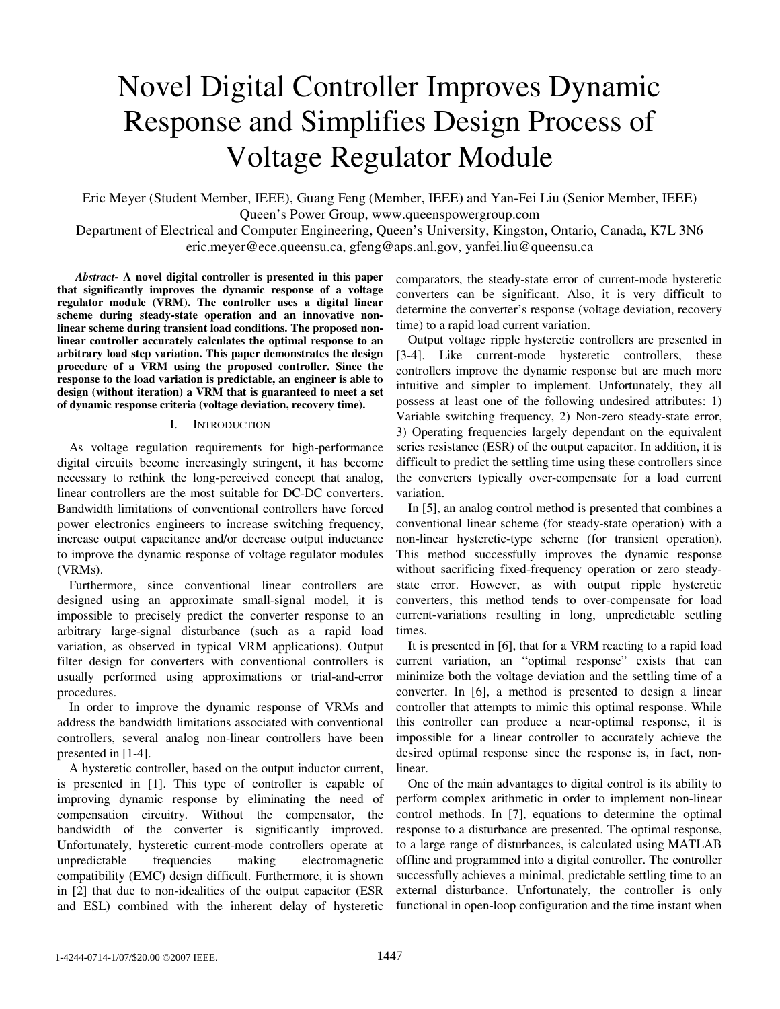# Novel Digital Controller Improves Dynamic Response and Simplifies Design Process of Voltage Regulator Module

Eric Meyer (Student Member, IEEE), Guang Feng (Member, IEEE) and Yan-Fei Liu (Senior Member, IEEE) Queen's Power Group, www.queenspowergroup.com

Department of Electrical and Computer Engineering, Queen's University, Kingston, Ontario, Canada, K7L 3N6 eric.meyer@ece.queensu.ca, gfeng@aps.anl.gov, yanfei.liu@queensu.ca

*Abstract-* **A novel digital controller is presented in this paper that significantly improves the dynamic response of a voltage regulator module (VRM). The controller uses a digital linear scheme during steady-state operation and an innovative nonlinear scheme during transient load conditions. The proposed nonlinear controller accurately calculates the optimal response to an arbitrary load step variation. This paper demonstrates the design procedure of a VRM using the proposed controller. Since the response to the load variation is predictable, an engineer is able to design (without iteration) a VRM that is guaranteed to meet a set of dynamic response criteria (voltage deviation, recovery time).** 

### I. INTRODUCTION

As voltage regulation requirements for high-performance digital circuits become increasingly stringent, it has become necessary to rethink the long-perceived concept that analog, linear controllers are the most suitable for DC-DC converters. Bandwidth limitations of conventional controllers have forced power electronics engineers to increase switching frequency, increase output capacitance and/or decrease output inductance to improve the dynamic response of voltage regulator modules (VRMs).

Furthermore, since conventional linear controllers are designed using an approximate small-signal model, it is impossible to precisely predict the converter response to an arbitrary large-signal disturbance (such as a rapid load variation, as observed in typical VRM applications). Output filter design for converters with conventional controllers is usually performed using approximations or trial-and-error procedures.

In order to improve the dynamic response of VRMs and address the bandwidth limitations associated with conventional controllers, several analog non-linear controllers have been presented in [1-4].

A hysteretic controller, based on the output inductor current, is presented in [1]. This type of controller is capable of improving dynamic response by eliminating the need of compensation circuitry. Without the compensator, the bandwidth of the converter is significantly improved. Unfortunately, hysteretic current-mode controllers operate at unpredictable frequencies making electromagnetic compatibility (EMC) design difficult. Furthermore, it is shown in [2] that due to non-idealities of the output capacitor (ESR and ESL) combined with the inherent delay of hysteretic

comparators, the steady-state error of current-mode hysteretic converters can be significant. Also, it is very difficult to determine the converter's response (voltage deviation, recovery time) to a rapid load current variation.

Output voltage ripple hysteretic controllers are presented in [3-4]. Like current-mode hysteretic controllers, these controllers improve the dynamic response but are much more intuitive and simpler to implement. Unfortunately, they all possess at least one of the following undesired attributes: 1) Variable switching frequency, 2) Non-zero steady-state error, 3) Operating frequencies largely dependant on the equivalent series resistance (ESR) of the output capacitor. In addition, it is difficult to predict the settling time using these controllers since the converters typically over-compensate for a load current variation.

In [5], an analog control method is presented that combines a conventional linear scheme (for steady-state operation) with a non-linear hysteretic-type scheme (for transient operation). This method successfully improves the dynamic response without sacrificing fixed-frequency operation or zero steadystate error. However, as with output ripple hysteretic converters, this method tends to over-compensate for load current-variations resulting in long, unpredictable settling times.

It is presented in [6], that for a VRM reacting to a rapid load current variation, an "optimal response" exists that can minimize both the voltage deviation and the settling time of a converter. In [6], a method is presented to design a linear controller that attempts to mimic this optimal response. While this controller can produce a near-optimal response, it is impossible for a linear controller to accurately achieve the desired optimal response since the response is, in fact, nonlinear.

One of the main advantages to digital control is its ability to perform complex arithmetic in order to implement non-linear control methods. In [7], equations to determine the optimal response to a disturbance are presented. The optimal response, to a large range of disturbances, is calculated using MATLAB offline and programmed into a digital controller. The controller successfully achieves a minimal, predictable settling time to an external disturbance. Unfortunately, the controller is only functional in open-loop configuration and the time instant when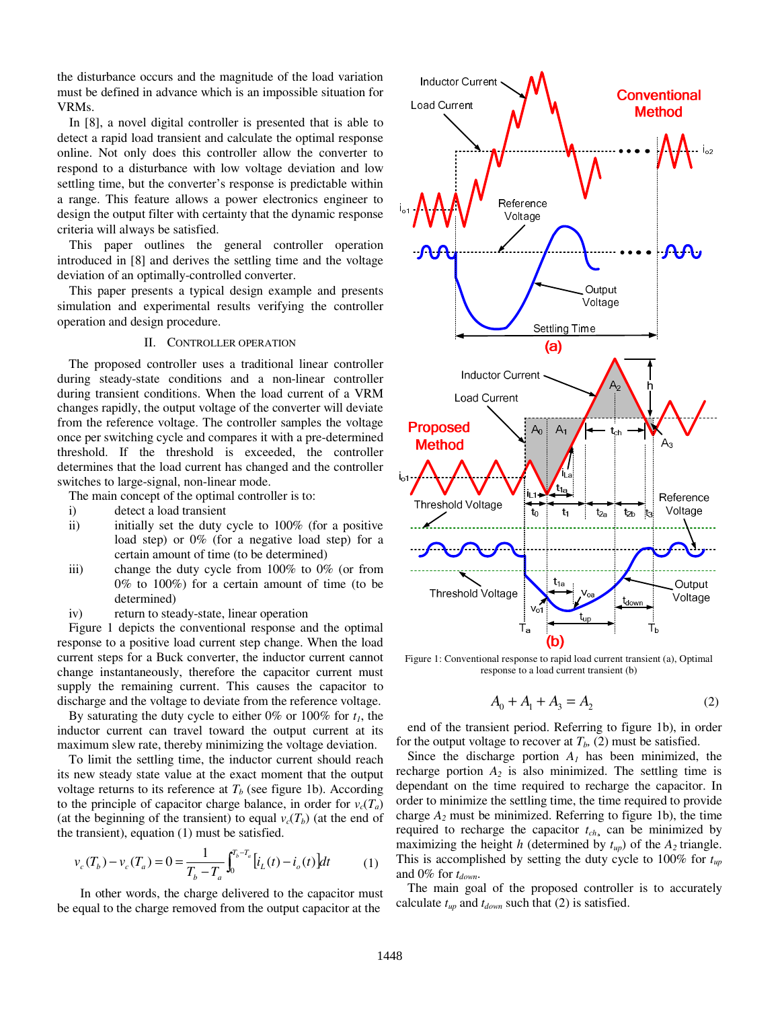the disturbance occurs and the magnitude of the load variation must be defined in advance which is an impossible situation for VRMs.

In [8], a novel digital controller is presented that is able to detect a rapid load transient and calculate the optimal response online. Not only does this controller allow the converter to respond to a disturbance with low voltage deviation and low settling time, but the converter's response is predictable within a range. This feature allows a power electronics engineer to design the output filter with certainty that the dynamic response criteria will always be satisfied.

This paper outlines the general controller operation introduced in [8] and derives the settling time and the voltage deviation of an optimally-controlled converter.

This paper presents a typical design example and presents simulation and experimental results verifying the controller operation and design procedure.

# II. CONTROLLER OPERATION

The proposed controller uses a traditional linear controller during steady-state conditions and a non-linear controller during transient conditions. When the load current of a VRM changes rapidly, the output voltage of the converter will deviate from the reference voltage. The controller samples the voltage once per switching cycle and compares it with a pre-determined threshold. If the threshold is exceeded, the controller determines that the load current has changed and the controller switches to large-signal, non-linear mode.

The main concept of the optimal controller is to:

- i) detect a load transient
- ii) initially set the duty cycle to 100% (for a positive load step) or 0% (for a negative load step) for a certain amount of time (to be determined)
- iii) change the duty cycle from 100% to 0% (or from 0% to 100%) for a certain amount of time (to be determined)
- iv) return to steady-state, linear operation

Figure 1 depicts the conventional response and the optimal response to a positive load current step change. When the load current steps for a Buck converter, the inductor current cannot change instantaneously, therefore the capacitor current must supply the remaining current. This causes the capacitor to discharge and the voltage to deviate from the reference voltage.

By saturating the duty cycle to either  $0\%$  or  $100\%$  for  $t_1$ , the inductor current can travel toward the output current at its maximum slew rate, thereby minimizing the voltage deviation.

To limit the settling time, the inductor current should reach its new steady state value at the exact moment that the output voltage returns to its reference at  $T<sub>b</sub>$  (see figure 1b). According to the principle of capacitor charge balance, in order for  $v_c(T_a)$ (at the beginning of the transient) to equal  $v_c(T_b)$  (at the end of the transient), equation (1) must be satisfied.

$$
v_c(T_b) - v_c(T_a) = 0 = \frac{1}{T_b - T_a} \int_0^{T_b - T_a} \left[ i_L(t) - i_o(t) \right] dt \tag{1}
$$

In other words, the charge delivered to the capacitor must be equal to the charge removed from the output capacitor at the



Figure 1: Conventional response to rapid load current transient (a), Optimal response to a load current transient (b)

$$
A_0 + A_1 + A_3 = A_2 \tag{2}
$$

end of the transient period. Referring to figure 1b), in order for the output voltage to recover at  $T_b$ , (2) must be satisfied.

Since the discharge portion  $A<sub>1</sub>$  has been minimized, the recharge portion  $A_2$  is also minimized. The settling time is dependant on the time required to recharge the capacitor. In order to minimize the settling time, the time required to provide charge  $A_2$  must be minimized. Referring to figure 1b), the time required to recharge the capacitor  $t_{ch}$ , can be minimized by maximizing the height *h* (determined by  $t_{up}$ ) of the  $A_2$  triangle. This is accomplished by setting the duty cycle to 100% for *tup* and  $0\%$  for  $t_{down}$ .

The main goal of the proposed controller is to accurately calculate  $t_{up}$  and  $t_{down}$  such that (2) is satisfied.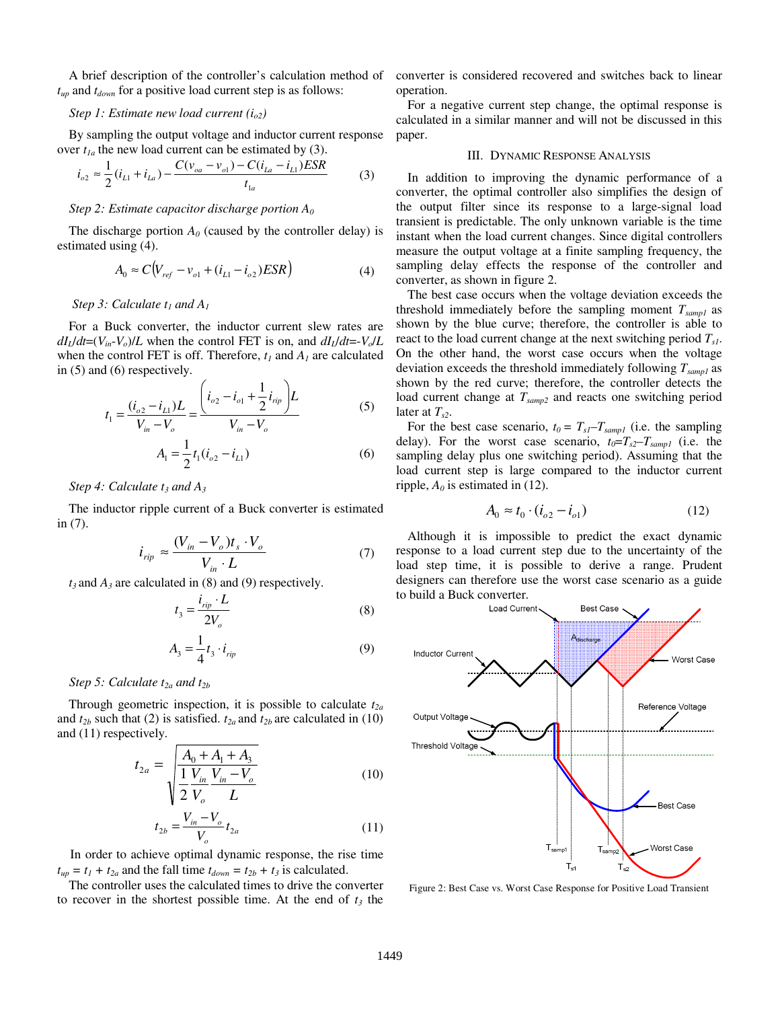A brief description of the controller's calculation method of  $t_{up}$  and  $t_{down}$  for a positive load current step is as follows:

### *Step 1: Estimate new load current (io2)*

By sampling the output voltage and inductor current response over  $t_{1a}$  the new load current can be estimated by (3).

$$
i_{o2} \approx \frac{1}{2} (i_{L1} + i_{La}) - \frac{C(v_{oa} - v_{o1}) - C(i_{La} - i_{L1})ESR}{t_{1a}}
$$
(3)

#### *Step 2: Estimate capacitor discharge portion A0*

The discharge portion  $A_0$  (caused by the controller delay) is estimated using (4).

$$
A_0 \approx C(V_{ref} - v_{o1} + (i_{L1} - i_{o2})ESR)
$$
 (4)

*Step 3: Calculate*  $t_1$  *and A<sub>1</sub>* 

For a Buck converter, the inductor current slew rates are  $dI_L/dt = (V_{in} - V_o)/L$  when the control FET is on, and  $dI_L/dt = -V_o/L$ when the control FET is off. Therefore,  $t_1$  and  $A_1$  are calculated in (5) and (6) respectively.

$$
t_1 = \frac{(i_{o2} - i_{L1})L}{V_{in} - V_o} = \frac{\left(i_{o2} - i_{o1} + \frac{1}{2}i_{rip}\right)L}{V_{in} - V_o}
$$
(5)

$$
A_{\rm l} = \frac{1}{2} t_{\rm l} (i_{o2} - i_{L1}) \tag{6}
$$

*Step 4: Calculate t<sub>3</sub> and A<sub>3</sub>* 

The inductor ripple current of a Buck converter is estimated in (7).

$$
i_{rip} \approx \frac{(V_{in} - V_o)t_s \cdot V_o}{V_{in} \cdot L}
$$
 (7)

 $t_3$  and  $A_3$  are calculated in (8) and (9) respectively.

$$
t_3 = \frac{i_{rip} \cdot L}{2V_o} \tag{8}
$$

$$
A_3 = \frac{1}{4} t_3 \cdot i_{rip} \tag{9}
$$

#### *Step 5: Calculate t<sub>2a</sub> and t<sub>2b</sub>*

Through geometric inspection, it is possible to calculate  $t_{2a}$ and  $t_{2b}$  such that (2) is satisfied.  $t_{2a}$  and  $t_{2b}$  are calculated in (10) and (11) respectively.

$$
t_{2a} = \sqrt{\frac{A_0 + A_1 + A_3}{\frac{1}{2} \frac{V_{in}}{V_o} \frac{V_{in} - V_o}{L}}}
$$
(10)

$$
\sqrt{2} V_o
$$
  
\n
$$
t_{2b} = \frac{V_{in} - V_o}{V_o} t_{2a}
$$
 (11)

In order to achieve optimal dynamic response, the rise time  $t_{up} = t_1 + t_{2a}$  and the fall time  $t_{down} = t_{2b} + t_3$  is calculated.

The controller uses the calculated times to drive the converter to recover in the shortest possible time. At the end of  $t_3$  the

converter is considered recovered and switches back to linear operation.

For a negative current step change, the optimal response is calculated in a similar manner and will not be discussed in this paper.

## III. DYNAMIC RESPONSE ANALYSIS

In addition to improving the dynamic performance of a converter, the optimal controller also simplifies the design of the output filter since its response to a large-signal load transient is predictable. The only unknown variable is the time instant when the load current changes. Since digital controllers measure the output voltage at a finite sampling frequency, the sampling delay effects the response of the controller and converter, as shown in figure 2.

The best case occurs when the voltage deviation exceeds the threshold immediately before the sampling moment *Tsamp1* as shown by the blue curve; therefore, the controller is able to react to the load current change at the next switching period  $T_{s1}$ . On the other hand, the worst case occurs when the voltage deviation exceeds the threshold immediately following *Tsamp1* as shown by the red curve; therefore, the controller detects the load current change at *Tsamp2* and reacts one switching period later at  $T_{s2}$ .

For the best case scenario,  $t_0 = T_{sI} - T_{samp1}$  (i.e. the sampling delay). For the worst case scenario,  $t_0 = T_{s2} - T_{samp1}$  (i.e. the sampling delay plus one switching period). Assuming that the load current step is large compared to the inductor current ripple,  $A_0$  is estimated in (12).

$$
A_0 \approx t_0 \cdot (i_{o2} - i_{o1})
$$
 (12)

Although it is impossible to predict the exact dynamic response to a load current step due to the uncertainty of the load step time, it is possible to derive a range. Prudent designers can therefore use the worst case scenario as a guide to build a Buck converter.



Figure 2: Best Case vs. Worst Case Response for Positive Load Transient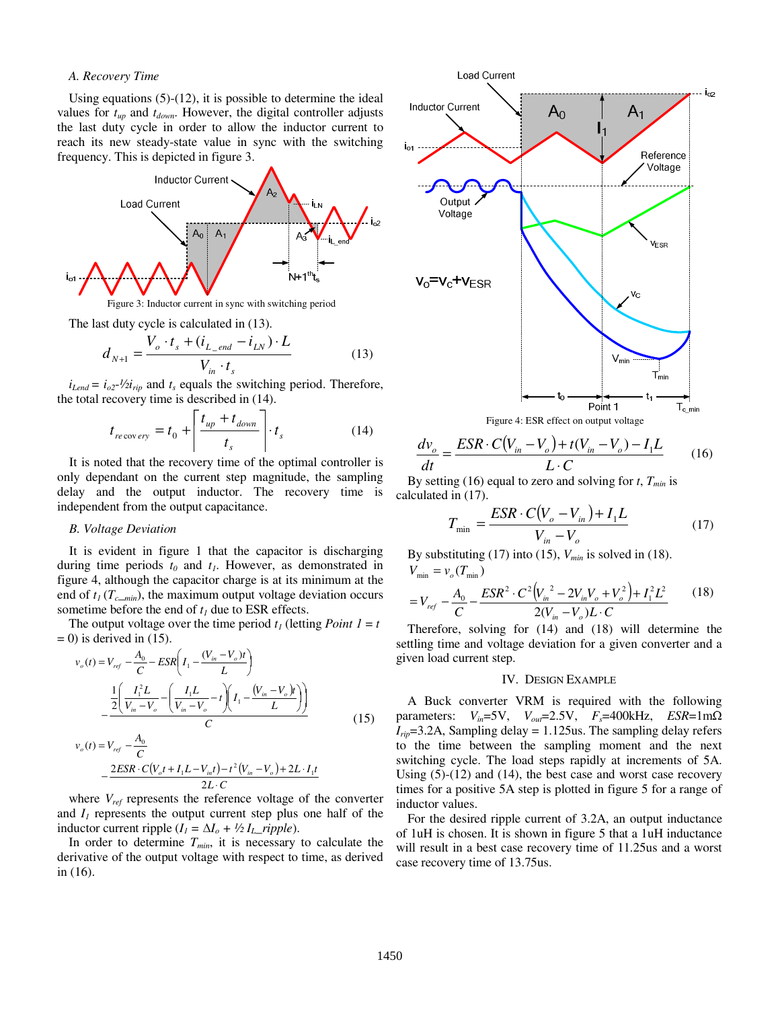#### *A. Recovery Time*

Using equations (5)-(12), it is possible to determine the ideal values for  $t_{up}$  and  $t_{down}$ . However, the digital controller adjusts the last duty cycle in order to allow the inductor current to reach its new steady-state value in sync with the switching frequency. This is depicted in figure 3.



Figure 3: Inductor current in sync with switching period

The last duty cycle is calculated in (13).

$$
d_{N+1} = \frac{V_o \cdot t_s + (i_{L\_end} - i_{LN}) \cdot L}{V_{in} \cdot t_s}
$$
 (13)

 $i_{Lend} = i_{o2}$ - $\frac{1}{2}i_{rip}$  and  $t_s$  equals the switching period. Therefore, the total recovery time is described in (14).

$$
t_{recovery} = t_0 + \left| \frac{t_{up} + t_{down}}{t_s} \right| \cdot t_s \tag{14}
$$

It is noted that the recovery time of the optimal controller is only dependant on the current step magnitude, the sampling delay and the output inductor. The recovery time is independent from the output capacitance.

#### *B. Voltage Deviation*

It is evident in figure 1 that the capacitor is discharging during time periods  $t_0$  and  $t_1$ . However, as demonstrated in figure 4, although the capacitor charge is at its minimum at the end of  $t_I$  ( $T_{c,min}$ ), the maximum output voltage deviation occurs sometime before the end of  $t_1$  due to ESR effects.

The output voltage over the time period  $t_1$  (letting *Point 1* = *t*  $= 0$ ) is derived in (15).

$$
v_o(t) = V_{ref} - \frac{A_0}{C} - ESR \left( I_1 - \frac{(V_{in} - V_o)t}{L} \right)
$$

$$
- \frac{\frac{1}{2} \left( \frac{I_1^2 L}{V_{in} - V_o} - \left( \frac{I_1 L}{V_{in} - V_o} - t \right) \left( I_1 - \frac{(V_{in} - V_o)t}{L} \right) \right)}{C}
$$
(15)

$$
v_o(t) = V_{ref} - \frac{A_0}{C}
$$
  
- 
$$
\frac{2ESR \cdot C(V_o t + I_1 L - V_{in} t) - t^2 (V_{in} - V_o) + 2L \cdot I_1 t}{2L \cdot C}
$$

where  $V_{ref}$  represents the reference voltage of the converter and  $I_1$  represents the output current step plus one half of the inductor current ripple  $(I_1 = \Delta I_0 + \frac{1}{2} I_L$ \_*ripple*).

In order to determine  $T_{min}$ , it is necessary to calculate the derivative of the output voltage with respect to time, as derived in (16).



$$
\frac{dv_o}{dt} = \frac{ESR \cdot C(V_{in} - V_o) + t(V_{in} - V_o) - I_1L}{L \cdot C}
$$
 (16)

By setting (16) equal to zero and solving for  $t$ ,  $T_{min}$  is calculated in (17).

$$
T_{\min} = \frac{ESR \cdot C(V_o - V_{in}) + I_1 L}{V_{in} - V_o}
$$
 (17)

By substituting  $(17)$  into  $(15)$ ,  $V_{min}$  is solved in  $(18)$ .  $V_{\min} = v_o(T_{\min})$ 

$$
=V_{ref} - \frac{A_0}{C} - \frac{ESR^2 \cdot C^2 (V_{in}^2 - 2V_{in}V_o + V_o^2) + I_1^2 L^2}{2(V_{in} - V_o)L \cdot C}
$$
 (18)

Therefore, solving for (14) and (18) will determine the settling time and voltage deviation for a given converter and a given load current step.

#### IV. DESIGN EXAMPLE

A Buck converter VRM is required with the following parameters:  $V_{in}$ =5V,  $V_{out}$ =2.5V,  $F_s$ =400kHz,  $ESR$ =1m $\Omega$  $I_{rip}$ =3.2A, Sampling delay = 1.125us. The sampling delay refers to the time between the sampling moment and the next switching cycle. The load steps rapidly at increments of 5A. Using (5)-(12) and (14), the best case and worst case recovery times for a positive 5A step is plotted in figure 5 for a range of inductor values.

For the desired ripple current of 3.2A, an output inductance of 1uH is chosen. It is shown in figure 5 that a 1uH inductance will result in a best case recovery time of 11.25us and a worst case recovery time of 13.75us.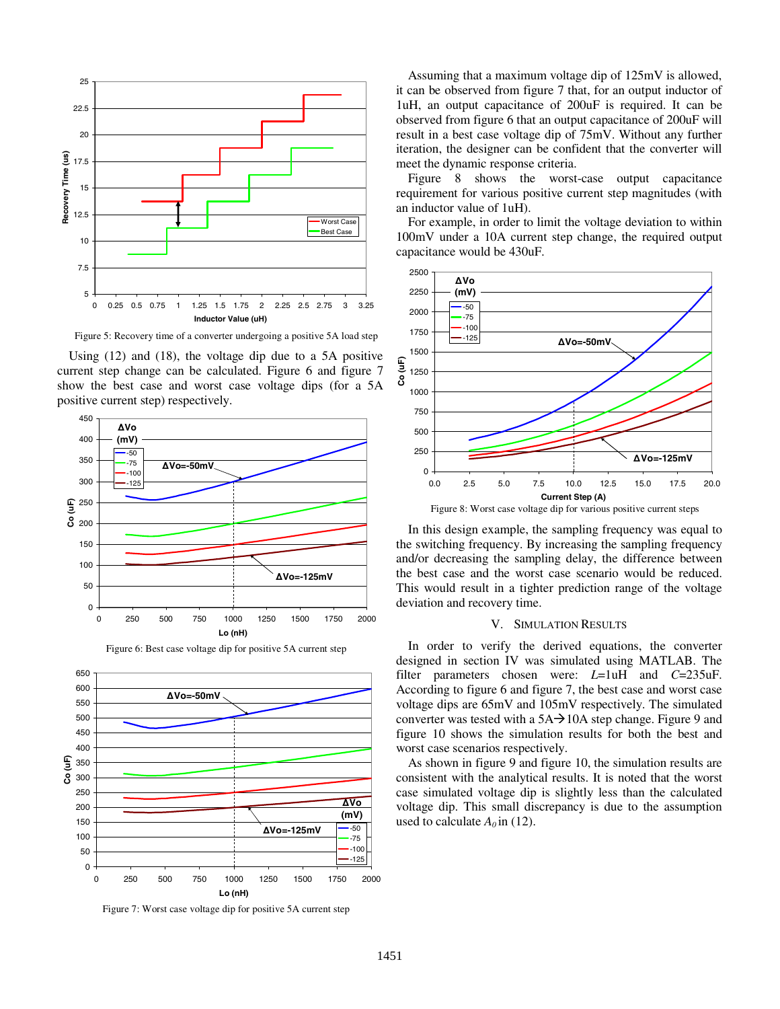

Figure 5: Recovery time of a converter undergoing a positive 5A load step

Using (12) and (18), the voltage dip due to a 5A positive current step change can be calculated. Figure 6 and figure 7 show the best case and worst case voltage dips (for a 5A positive current step) respectively.





Figure 7: Worst case voltage dip for positive 5A current step

Assuming that a maximum voltage dip of 125mV is allowed, it can be observed from figure 7 that, for an output inductor of 1uH, an output capacitance of 200uF is required. It can be observed from figure 6 that an output capacitance of 200uF will result in a best case voltage dip of 75mV. Without any further iteration, the designer can be confident that the converter will meet the dynamic response criteria.

Figure 8 shows the worst-case output capacitance requirement for various positive current step magnitudes (with an inductor value of 1uH).

For example, in order to limit the voltage deviation to within 100mV under a 10A current step change, the required output capacitance would be 430uF.



In this design example, the sampling frequency was equal to the switching frequency. By increasing the sampling frequency and/or decreasing the sampling delay, the difference between the best case and the worst case scenario would be reduced. This would result in a tighter prediction range of the voltage deviation and recovery time.

#### V. SIMULATION RESULTS

In order to verify the derived equations, the converter designed in section IV was simulated using MATLAB. The filter parameters chosen were: *L*=1uH and *C*=235uF. According to figure 6 and figure 7, the best case and worst case voltage dips are 65mV and 105mV respectively. The simulated converter was tested with a  $5A\rightarrow 10A$  step change. Figure 9 and figure 10 shows the simulation results for both the best and worst case scenarios respectively.

As shown in figure 9 and figure 10, the simulation results are consistent with the analytical results. It is noted that the worst case simulated voltage dip is slightly less than the calculated voltage dip. This small discrepancy is due to the assumption used to calculate  $A_0$  in (12).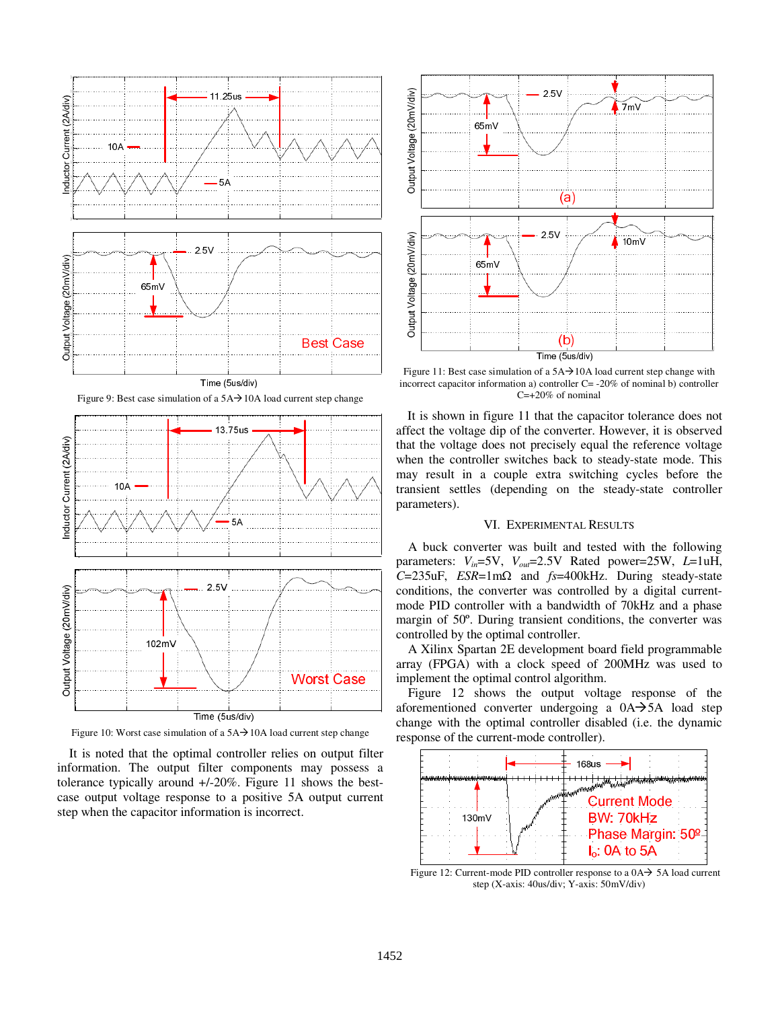

Figure 9: Best case simulation of a  $5A\rightarrow 10A$  load current step change



Figure 10: Worst case simulation of a  $5A\rightarrow 10A$  load current step change

It is noted that the optimal controller relies on output filter information. The output filter components may possess a tolerance typically around +/-20%. Figure 11 shows the bestcase output voltage response to a positive 5A output current step when the capacitor information is incorrect.



Figure 11: Best case simulation of a  $5A\rightarrow 10A$  load current step change with incorrect capacitor information a) controller C= -20% of nominal b) controller C=+20% of nominal

It is shown in figure 11 that the capacitor tolerance does not affect the voltage dip of the converter. However, it is observed that the voltage does not precisely equal the reference voltage when the controller switches back to steady-state mode. This may result in a couple extra switching cycles before the transient settles (depending on the steady-state controller parameters).

## VI. EXPERIMENTAL RESULTS

A buck converter was built and tested with the following parameters:  $V_{in}$ =5V,  $V_{out}$ =2.5V Rated power=25W, L=1uH, *<sup>C</sup>*=235uF, *ESR*=1mΩ and *fs*=400kHz. During steady-state conditions, the converter was controlled by a digital currentmode PID controller with a bandwidth of 70kHz and a phase margin of 50º. During transient conditions, the converter was controlled by the optimal controller.

A Xilinx Spartan 2E development board field programmable array (FPGA) with a clock speed of 200MHz was used to implement the optimal control algorithm.

Figure 12 shows the output voltage response of the aforementioned converter undergoing a  $0A \rightarrow 5A$  load step change with the optimal controller disabled (i.e. the dynamic response of the current-mode controller).



Figure 12: Current-mode PID controller response to a  $0A \rightarrow 5A$  load current step (X-axis: 40us/div; Y-axis: 50mV/div)